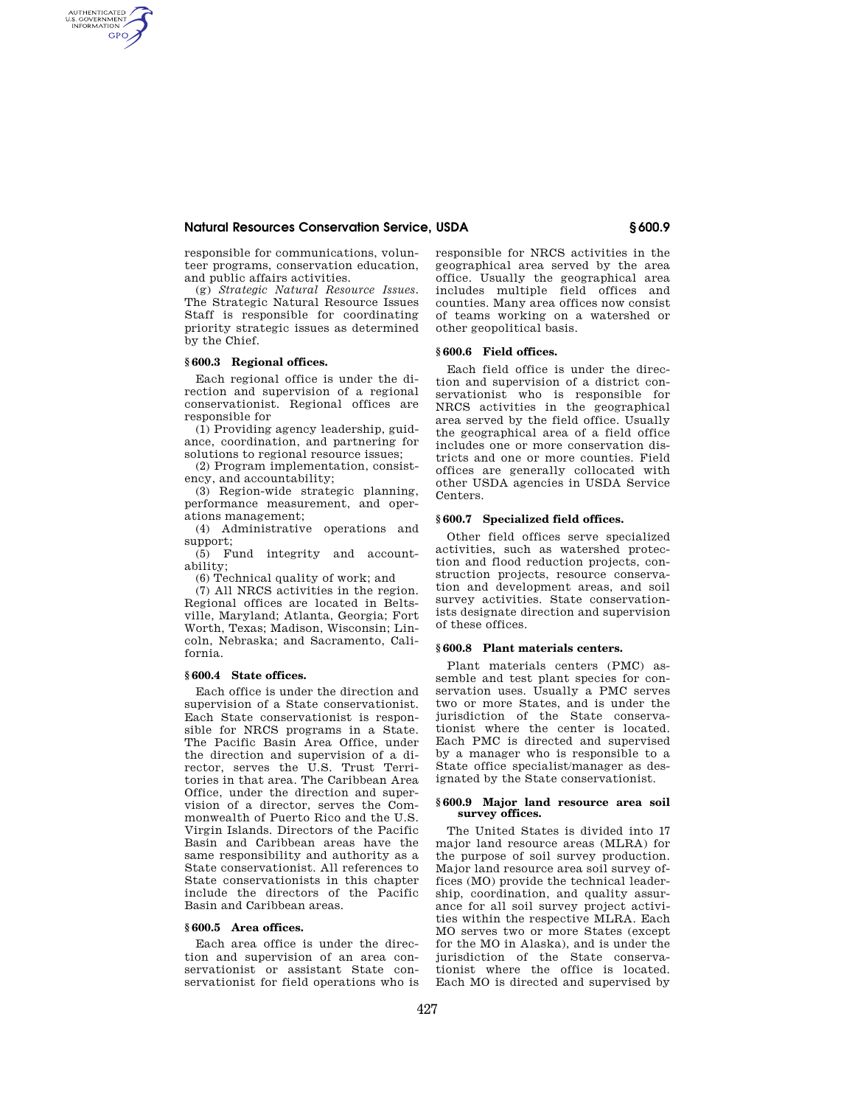## **Natural Resources Conservation Service, USDA § 600.9**

responsible for communications, volunteer programs, conservation education, and public affairs activities.

(g) *Strategic Natural Resource Issues.*  The Strategic Natural Resource Issues Staff is responsible for coordinating priority strategic issues as determined by the Chief.

# **§ 600.3 Regional offices.**

AUTHENTICATED<br>U.S. GOVERNMENT<br>INFORMATION **GPO** 

> Each regional office is under the direction and supervision of a regional conservationist. Regional offices are responsible for

> (1) Providing agency leadership, guidance, coordination, and partnering for solutions to regional resource issues;

(2) Program implementation, consistency, and accountability;

(3) Region-wide strategic planning, performance measurement, and operations management;

(4) Administrative operations and support;

(5) Fund integrity and accountability;

(6) Technical quality of work; and

(7) All NRCS activities in the region. Regional offices are located in Beltsville, Maryland; Atlanta, Georgia; Fort Worth, Texas; Madison, Wisconsin; Lincoln, Nebraska; and Sacramento, California.

### **§ 600.4 State offices.**

Each office is under the direction and supervision of a State conservationist. Each State conservationist is responsible for NRCS programs in a State. The Pacific Basin Area Office, under the direction and supervision of a director, serves the U.S. Trust Territories in that area. The Caribbean Area Office, under the direction and supervision of a director, serves the Commonwealth of Puerto Rico and the U.S. Virgin Islands. Directors of the Pacific Basin and Caribbean areas have the same responsibility and authority as a State conservationist. All references to State conservationists in this chapter include the directors of the Pacific Basin and Caribbean areas.

### **§ 600.5 Area offices.**

Each area office is under the direction and supervision of an area conservationist or assistant State conservationist for field operations who is responsible for NRCS activities in the geographical area served by the area office. Usually the geographical area includes multiple field offices and counties. Many area offices now consist of teams working on a watershed or other geopolitical basis.

### **§ 600.6 Field offices.**

Each field office is under the direction and supervision of a district conservationist who is responsible for NRCS activities in the geographical area served by the field office. Usually the geographical area of a field office includes one or more conservation districts and one or more counties. Field offices are generally collocated with other USDA agencies in USDA Service Centers.

### **§ 600.7 Specialized field offices.**

Other field offices serve specialized activities, such as watershed protection and flood reduction projects, construction projects, resource conservation and development areas, and soil survey activities. State conservationists designate direction and supervision of these offices.

#### **§ 600.8 Plant materials centers.**

Plant materials centers (PMC) assemble and test plant species for conservation uses. Usually a PMC serves two or more States, and is under the jurisdiction of the State conservationist where the center is located. Each PMC is directed and supervised by a manager who is responsible to a State office specialist/manager as designated by the State conservationist.

#### **§ 600.9 Major land resource area soil survey offices.**

The United States is divided into 17 major land resource areas (MLRA) for the purpose of soil survey production. Major land resource area soil survey offices (MO) provide the technical leadership, coordination, and quality assurance for all soil survey project activities within the respective MLRA. Each MO serves two or more States (except for the MO in Alaska), and is under the jurisdiction of the State conservationist where the office is located. Each MO is directed and supervised by